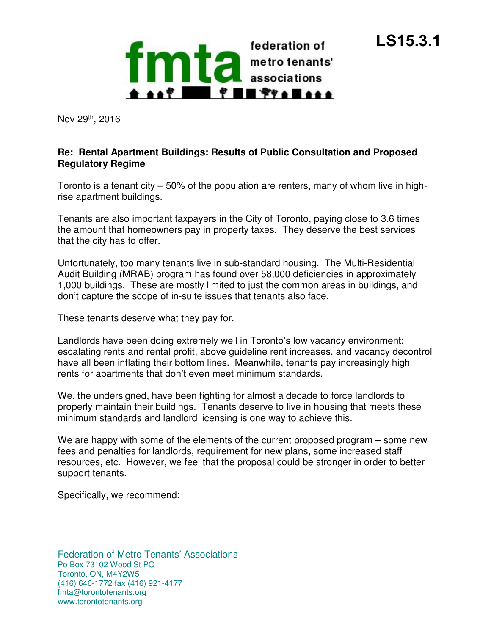**LS15.3.1**

Nov 29th, 2016

## **Re: Rental Apartment Buildings: Results of Public Consultation and Proposed Regulatory Regime**

 Toronto is a tenant city – 50% of the population are renters, many of whom live in high-rise apartment buildings.

 Tenants are also important taxpayers in the City of Toronto, paying close to 3.6 times the amount that homeowners pay in property taxes. They deserve the best services that the city has to offer.

 Unfortunately, too many tenants live in sub-standard housing. The Multi-Residential Audit Building (MRAB) program has found over 58,000 deficiencies in approximately 1,000 buildings. These are mostly limited to just the common areas in buildings, and don't capture the scope of in-suite issues that tenants also face.

These tenants deserve what they pay for.

 Landlords have been doing extremely well in Toronto's low vacancy environment: escalating rents and rental profit, above guideline rent increases, and vacancy decontrol have all been inflating their bottom lines. Meanwhile, tenants pay increasingly high rents for apartments that don't even meet minimum standards.

 We, the undersigned, have been fighting for almost a decade to force landlords to properly maintain their buildings. Tenants deserve to live in housing that meets these minimum standards and landlord licensing is one way to achieve this.

 We are happy with some of the elements of the current proposed program – some new fees and penalties for landlords, requirement for new plans, some increased staff resources, etc. However, we feel that the proposal could be stronger in order to better support tenants.

Specifically, we recommend:

 Federation of Metro Tenants' Associations Toronto, ON, M4Y2W5 Po Box 73102 Wood St PO (416) 646-1772 fax (416) 921-4177 fmta@torontotenants.org www.torontotenants.org